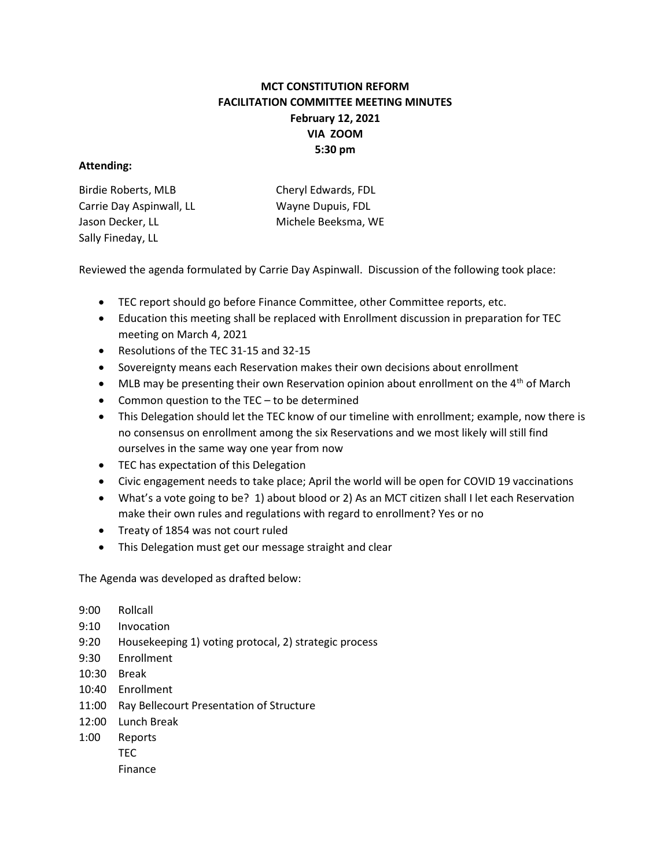## MCT CONSTITUTION REFORM FACILITATION COMMITTEE MEETING MINUTES February 12, 2021 VIA ZOOM 5:30 pm

## Attending:

| Birdie Roberts, MLB      | Cheryl Edwards, FDL |
|--------------------------|---------------------|
| Carrie Day Aspinwall, LL | Wayne Dupuis, FDL   |
| Jason Decker, LL         | Michele Beeksma, WE |
| Sally Fineday, LL        |                     |

Reviewed the agenda formulated by Carrie Day Aspinwall. Discussion of the following took place:

- TEC report should go before Finance Committee, other Committee reports, etc.
- Education this meeting shall be replaced with Enrollment discussion in preparation for TEC meeting on March 4, 2021
- Resolutions of the TEC 31-15 and 32-15
- Sovereignty means each Reservation makes their own decisions about enrollment
- $\bullet$  MLB may be presenting their own Reservation opinion about enrollment on the 4<sup>th</sup> of March
- Common question to the TEC to be determined
- This Delegation should let the TEC know of our timeline with enrollment; example, now there is no consensus on enrollment among the six Reservations and we most likely will still find ourselves in the same way one year from now
- TEC has expectation of this Delegation
- Civic engagement needs to take place; April the world will be open for COVID 19 vaccinations
- What's a vote going to be? 1) about blood or 2) As an MCT citizen shall I let each Reservation make their own rules and regulations with regard to enrollment? Yes or no
- Treaty of 1854 was not court ruled
- This Delegation must get our message straight and clear

The Agenda was developed as drafted below:

- 9:00 Rollcall
- 9:10 Invocation
- 9:20 Housekeeping 1) voting protocal, 2) strategic process
- 9:30 Enrollment
- 10:30 Break
- 10:40 Enrollment
- 11:00 Ray Bellecourt Presentation of Structure
- 12:00 Lunch Break
- 1:00 Reports TEC Finance